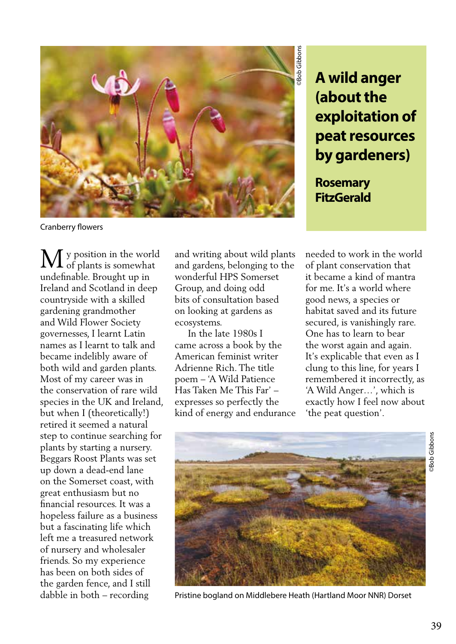

**(about the exploitation of peat resources by gardeners)**

**Rosemary FitzGerald**

Cranberry flowers

y position in the world of plants is somewhat undefinable. Brought up in Ireland and Scotland in deep countryside with a skilled gardening grandmother and Wild Flower Society governesses, I learnt Latin names as I learnt to talk and became indelibly aware of both wild and garden plants. Most of my career was in the conservation of rare wild species in the UK and Ireland, but when I (theoretically!) retired it seemed a natural step to continue searching for plants by starting a nursery. Beggars Roost Plants was set up down a dead-end lane on the Somerset coast, with great enthusiasm but no financial resources. It was a hopeless failure as a business but a fascinating life which left me a treasured network of nursery and wholesaler friends. So my experience has been on both sides of the garden fence, and I still dabble in both – recording M

and writing about wild plants and gardens, belonging to the wonderful HPS Somerset Group, and doing odd bits of consultation based on looking at gardens as ecosystems.

 In the late 1980s I came across a book by the American feminist writer Adrienne Rich. The title poem – 'A Wild Patience Has Taken Me This Far' – expresses so perfectly the kind of energy and endurance needed to work in the world of plant conservation that it became a kind of mantra for me. It's a world where good news, a species or habitat saved and its future secured, is vanishingly rare. One has to learn to bear the worst again and again. It's explicable that even as I clung to this line, for years I remembered it incorrectly, as 'A Wild Anger…', which is exactly how I feel now about 'the peat question'.



Pristine bogland on Middlebere Heath (Hartland Moor NNR) Dorset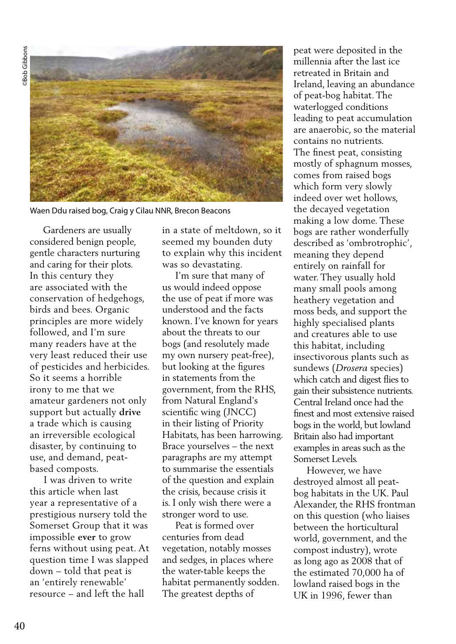**Bob Gibbons** ©Bob Gibbons



Waen Ddu raised bog, Craig y Cilau NNR, Brecon Beacons

 Gardeners are usually considered benign people, gentle characters nurturing and caring for their plots. In this century they are associated with the conservation of hedgehogs, birds and bees. Organic principles are more widely followed, and I'm sure many readers have at the very least reduced their use of pesticides and herbicides. So it seems a horrible irony to me that we amateur gardeners not only support but actually **drive**  a trade which is causing an irreversible ecological disaster, by continuing to use, and demand, peatbased composts.

 I was driven to write this article when last year a representative of a prestigious nursery told the Somerset Group that it was impossible **ever** to grow ferns without using peat. At question time I was slapped down – told that peat is an 'entirely renewable' resource – and left the hall

in a state of meltdown, so it seemed my bounden duty to explain why this incident was so devastating.

 I'm sure that many of us would indeed oppose the use of peat if more was understood and the facts known. I've known for years about the threats to our bogs (and resolutely made my own nursery peat-free), but looking at the figures in statements from the government, from the RHS, from Natural England's scientific wing (JNCC) in their listing of Priority Habitats, has been harrowing. Brace yourselves – the next paragraphs are my attempt to summarise the essentials of the question and explain the crisis, because crisis it is. I only wish there were a stronger word to use.

 Peat is formed over centuries from dead vegetation, notably mosses and sedges, in places where the water-table keeps the habitat permanently sodden. The greatest depths of

peat were deposited in the millennia after the last ice retreated in Britain and Ireland, leaving an abundance of peat-bog habitat. The waterlogged conditions leading to peat accumulation are anaerobic, so the material contains no nutrients. The finest peat, consisting mostly of sphagnum mosses, comes from raised bogs which form very slowly indeed over wet hollows, the decayed vegetation making a low dome. These bogs are rather wonderfully described as 'ombrotrophic', meaning they depend entirely on rainfall for water. They usually hold many small pools among heathery vegetation and moss beds, and support the highly specialised plants and creatures able to use this habitat, including insectivorous plants such as sundews (*Drosera* species) which catch and digest flies to gain their subsistence nutrients. Central Ireland once had the finest and most extensive raised bogs in the world, but lowland Britain also had important examples in areas such as the Somerset Levels.

 However, we have destroyed almost all peatbog habitats in the UK. Paul Alexander, the RHS frontman on this question (who liaises between the horticultural world, government, and the compost industry), wrote as long ago as 2008 that of the estimated 70,000 ha of lowland raised bogs in the UK in 1996, fewer than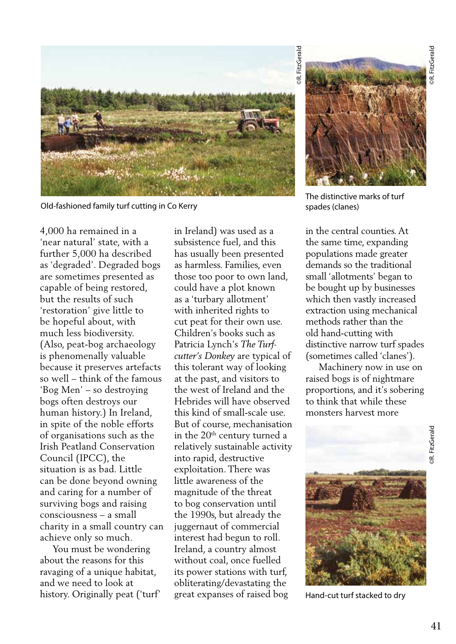

Old-fashioned family turf cutting in Co Kerry

4,000 ha remained in a 'near natural' state, with a further 5,000 ha described as 'degraded'. Degraded bogs are sometimes presented as capable of being restored, but the results of such 'restoration' give little to be hopeful about, with much less biodiversity. (Also, peat-bog archaeology is phenomenally valuable because it preserves artefacts so well – think of the famous 'Bog Men' – so destroying bogs often destroys our human history.) In Ireland, in spite of the noble efforts of organisations such as the Irish Peatland Conservation Council (IPCC), the situation is as bad. Little can be done beyond owning and caring for a number of surviving bogs and raising consciousness – a small charity in a small country can achieve only so much.

 You must be wondering about the reasons for this ravaging of a unique habitat, and we need to look at history. Originally peat ('turf' in Ireland) was used as a subsistence fuel, and this has usually been presented as harmless. Families, even those too poor to own land, could have a plot known as a 'turbary allotment' with inherited rights to cut peat for their own use. Children's books such as Patricia Lynch's *The Turfcutter's Donkey* are typical of this tolerant way of looking at the past, and visitors to the west of Ireland and the Hebrides will have observed this kind of small-scale use. But of course, mechanisation in the 20<sup>th</sup> century turned a relatively sustainable activity into rapid, destructive exploitation. There was little awareness of the magnitude of the threat to bog conservation until the 1990s, but already the juggernaut of commercial interest had begun to roll. Ireland, a country almost without coal, once fuelled its power stations with turf, obliterating/devastating the great expanses of raised bog



The distinctive marks of turf spades (clanes)

in the central counties. At the same time, expanding populations made greater demands so the traditional small 'allotments' began to be bought up by businesses which then vastly increased extraction using mechanical methods rather than the old hand-cutting with distinctive narrow turf spades (sometimes called 'clanes').

 Machinery now in use on raised bogs is of nightmare proportions, and it's sobering to think that while these monsters harvest more



Hand-cut turf stacked to dry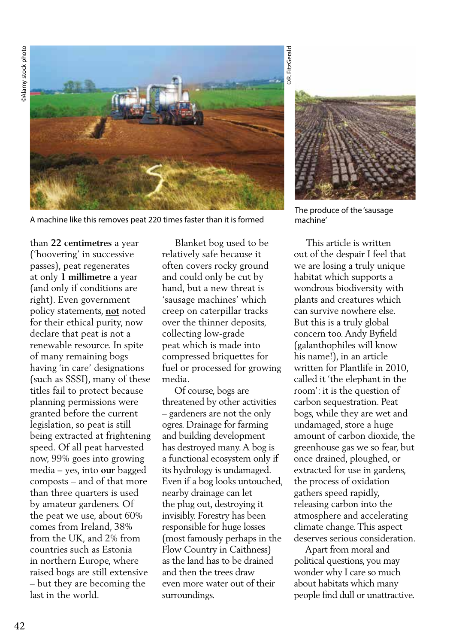**DAlamy** stock photo ©Alamy stock photo



A machine like this removes peat 220 times faster than it is formed

than **22 centimetres** a year ('hoovering' in successive passes), peat regenerates at only **1 millimetre** a year (and only if conditions are right). Even government policy statements, **not** noted for their ethical purity, now declare that peat is not a renewable resource. In spite of many remaining bogs having 'in care' designations (such as SSSI), many of these titles fail to protect because planning permissions were granted before the current legislation, so peat is still being extracted at frightening speed. Of all peat harvested now, 99% goes into growing media – yes, into **our** bagged composts – and of that more than three quarters is used by amateur gardeners. Of the peat we use, about 60% comes from Ireland, 38% from the UK, and 2% from countries such as Estonia in northern Europe, where raised bogs are still extensive – but they are becoming the last in the world.

 Blanket bog used to be relatively safe because it often covers rocky ground and could only be cut by hand, but a new threat is 'sausage machines' which creep on caterpillar tracks over the thinner deposits, collecting low-grade peat which is made into compressed briquettes for fuel or processed for growing media.

 Of course, bogs are threatened by other activities – gardeners are not the only ogres. Drainage for farming and building development has destroyed many. A bog is a functional ecosystem only if its hydrology is undamaged. Even if a bog looks untouched, nearby drainage can let the plug out, destroying it invisibly. Forestry has been responsible for huge losses (most famously perhaps in the Flow Country in Caithness) as the land has to be drained and then the trees draw even more water out of their surroundings.

**DR.** FitzGerald ©R. FitzGerald



The produce of the 'sausage machine'

 This article is written out of the despair I feel that we are losing a truly unique habitat which supports a wondrous biodiversity with plants and creatures which can survive nowhere else. But this is a truly global concern too. Andy Byfield (galanthophiles will know his name!), in an article written for Plantlife in 2010, called it 'the elephant in the room': it is the question of carbon sequestration. Peat bogs, while they are wet and undamaged, store a huge amount of carbon dioxide, the greenhouse gas we so fear, but once drained, ploughed, or extracted for use in gardens, the process of oxidation gathers speed rapidly, releasing carbon into the atmosphere and accelerating climate change. This aspect deserves serious consideration.

 Apart from moral and political questions, you may wonder why I care so much about habitats which many people find dull or unattractive.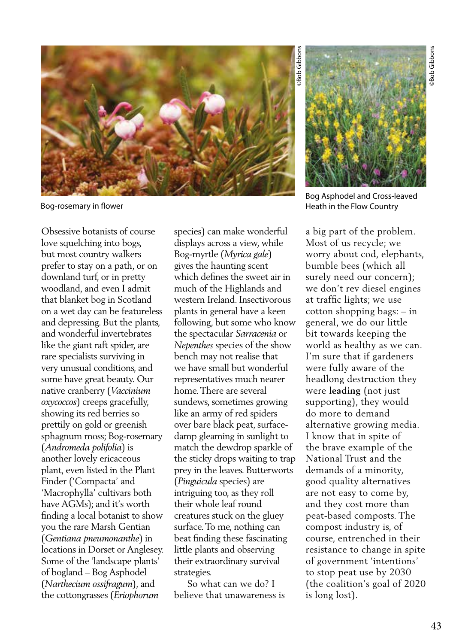

Bog-rosemary in flower

Obsessive botanists of course love squelching into bogs, but most country walkers prefer to stay on a path, or on downland turf, or in pretty woodland, and even I admit that blanket bog in Scotland on a wet day can be featureless and depressing. But the plants, and wonderful invertebrates like the giant raft spider, are rare specialists surviving in very unusual conditions, and some have great beauty. Our native cranberry (*Vaccinium oxycoccos*) creeps gracefully, showing its red berries so prettily on gold or greenish sphagnum moss; Bog-rosemary (*Andromeda polifolia*) is another lovely ericaceous plant, even listed in the Plant Finder ('Compacta' and 'Macrophylla' cultivars both have AGMs); and it's worth finding a local botanist to show you the rare Marsh Gentian (*Gentiana pneumonanthe*) in locations in Dorset or Anglesey. Some of the 'landscape plants' of bogland – Bog Asphodel (*Narthecium ossifragum*), and the cottongrasses (*Eriophorum* 

species) can make wonderful displays across a view, while Bog-myrtle (*Myrica gale*) gives the haunting scent which defines the sweet air in much of the Highlands and western Ireland. Insectivorous plants in general have a keen following, but some who know the spectacular *Sarracenia* or *Nepenthes* species of the show bench may not realise that we have small but wonderful representatives much nearer home. There are several sundews, sometimes growing like an army of red spiders over bare black peat, surfacedamp gleaming in sunlight to match the dewdrop sparkle of the sticky drops waiting to trap prey in the leaves. Butterworts (*Pinguicula* species) are intriguing too, as they roll their whole leaf round creatures stuck on the gluey surface. To me, nothing can beat finding these fascinating little plants and observing their extraordinary survival strategies.

 So what can we do? I believe that unawareness is

Bog Asphodel and Cross-leaved Heath in the Flow Country

a big part of the problem. Most of us recycle; we worry about cod, elephants, bumble bees (which all surely need our concern); we don't rev diesel engines at traffic lights; we use cotton shopping bags: – in general, we do our little bit towards keeping the world as healthy as we can. I'm sure that if gardeners were fully aware of the headlong destruction they were **leading** (not just supporting), they would do more to demand alternative growing media. I know that in spite of the brave example of the National Trust and the demands of a minority, good quality alternatives are not easy to come by, and they cost more than peat-based composts. The compost industry is, of course, entrenched in their resistance to change in spite of government 'intentions' to stop peat use by 2030 (the coalition's goal of 2020 is long lost).